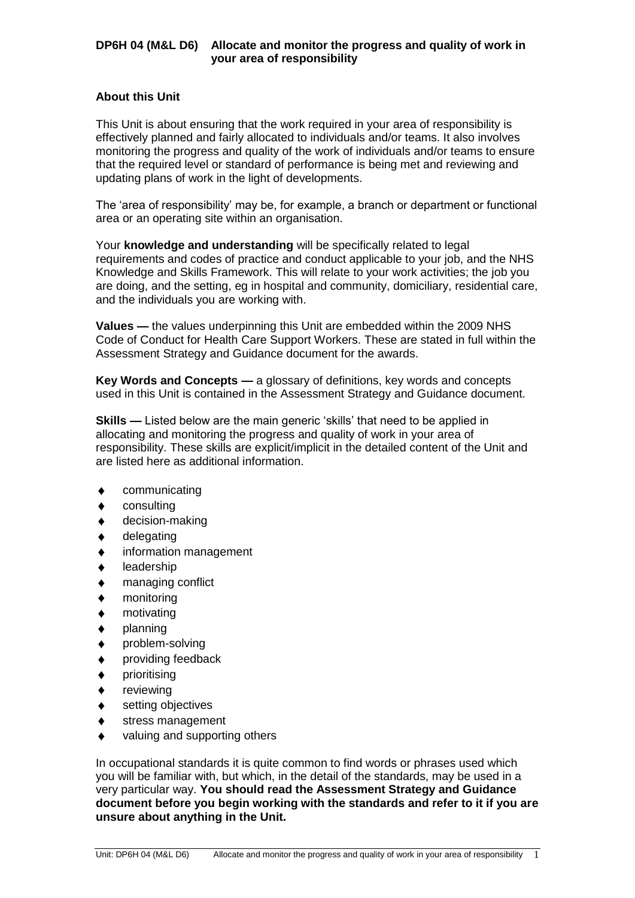#### **About this Unit**

This Unit is about ensuring that the work required in your area of responsibility is effectively planned and fairly allocated to individuals and/or teams. It also involves monitoring the progress and quality of the work of individuals and/or teams to ensure that the required level or standard of performance is being met and reviewing and updating plans of work in the light of developments.

The 'area of responsibility' may be, for example, a branch or department or functional area or an operating site within an organisation.

Your **knowledge and understanding** will be specifically related to legal requirements and codes of practice and conduct applicable to your job, and the NHS Knowledge and Skills Framework. This will relate to your work activities; the job you are doing, and the setting, eg in hospital and community, domiciliary, residential care, and the individuals you are working with.

**Values —** the values underpinning this Unit are embedded within the 2009 NHS Code of Conduct for Health Care Support Workers. These are stated in full within the Assessment Strategy and Guidance document for the awards.

**Key Words and Concepts —** a glossary of definitions, key words and concepts used in this Unit is contained in the Assessment Strategy and Guidance document.

**Skills —** Listed below are the main generic 'skills' that need to be applied in allocating and monitoring the progress and quality of work in your area of responsibility. These skills are explicit/implicit in the detailed content of the Unit and are listed here as additional information.

- communicating  $\blacklozenge$
- consulting
- decision-making
- delegating
- information management
- leadership
- managing conflict
- monitoring
- motivating
- planning
- problem-solving
- providing feedback
- prioritising
- reviewing
- setting objectives
- stress management
- valuing and supporting others

In occupational standards it is quite common to find words or phrases used which you will be familiar with, but which, in the detail of the standards, may be used in a very particular way. **You should read the Assessment Strategy and Guidance document before you begin working with the standards and refer to it if you are unsure about anything in the Unit.**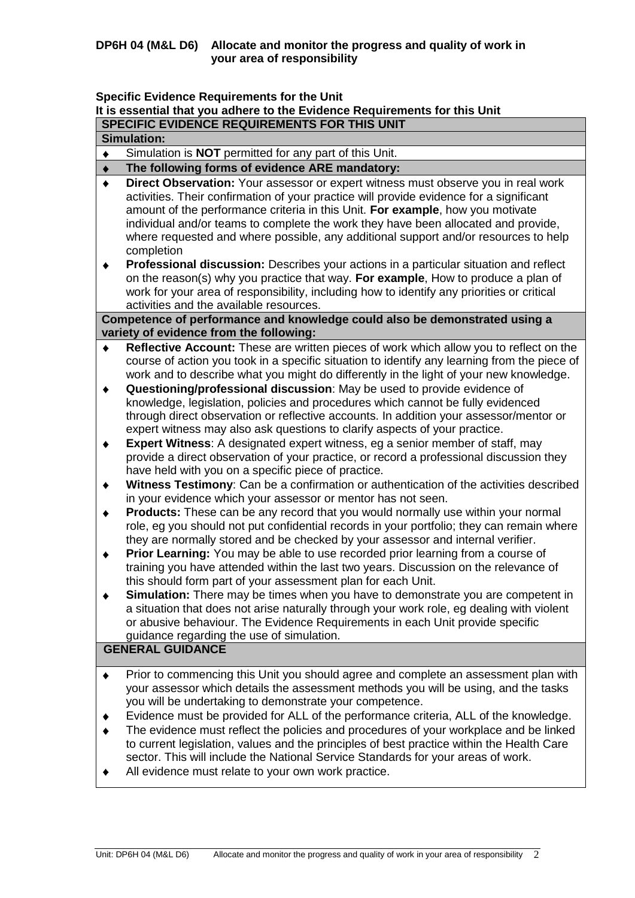**Specific Evidence Requirements for the Unit**

| It is essential that you adhere to the Evidence Requirements for this Unit |                                                                                                                                                                                                                                                                                                                                                                                                                                             |  |  |  |  |
|----------------------------------------------------------------------------|---------------------------------------------------------------------------------------------------------------------------------------------------------------------------------------------------------------------------------------------------------------------------------------------------------------------------------------------------------------------------------------------------------------------------------------------|--|--|--|--|
| SPECIFIC EVIDENCE REQUIREMENTS FOR THIS UNIT                               |                                                                                                                                                                                                                                                                                                                                                                                                                                             |  |  |  |  |
| <b>Simulation:</b>                                                         |                                                                                                                                                                                                                                                                                                                                                                                                                                             |  |  |  |  |
|                                                                            | Simulation is <b>NOT</b> permitted for any part of this Unit.                                                                                                                                                                                                                                                                                                                                                                               |  |  |  |  |
|                                                                            | The following forms of evidence ARE mandatory:                                                                                                                                                                                                                                                                                                                                                                                              |  |  |  |  |
|                                                                            | Direct Observation: Your assessor or expert witness must observe you in real work<br>activities. Their confirmation of your practice will provide evidence for a significant<br>amount of the performance criteria in this Unit. For example, how you motivate<br>individual and/or teams to complete the work they have been allocated and provide,<br>where requested and where possible, any additional support and/or resources to help |  |  |  |  |

completion **Professional discussion:** Describes your actions in a particular situation and reflect  $\blacklozenge$ on the reason(s) why you practice that way. **For example**, How to produce a plan of work for your area of responsibility, including how to identify any priorities or critical activities and the available resources.

**Competence of performance and knowledge could also be demonstrated using a variety of evidence from the following:**

- **Reflective Account:** These are written pieces of work which allow you to reflect on the  $\bullet$ course of action you took in a specific situation to identify any learning from the piece of work and to describe what you might do differently in the light of your new knowledge.
- **Questioning/professional discussion**: May be used to provide evidence of  $\blacklozenge$ knowledge, legislation, policies and procedures which cannot be fully evidenced through direct observation or reflective accounts. In addition your assessor/mentor or expert witness may also ask questions to clarify aspects of your practice.
- **Expert Witness**: A designated expert witness, eg a senior member of staff, may  $\blacklozenge$ provide a direct observation of your practice, or record a professional discussion they have held with you on a specific piece of practice.
- **Witness Testimony**: Can be a confirmation or authentication of the activities described  $\blacklozenge$ in your evidence which your assessor or mentor has not seen.
- **Products:** These can be any record that you would normally use within your normal  $\blacklozenge$ role, eg you should not put confidential records in your portfolio; they can remain where they are normally stored and be checked by your assessor and internal verifier.
- **Prior Learning:** You may be able to use recorded prior learning from a course of  $\blacklozenge$ training you have attended within the last two years. Discussion on the relevance of this should form part of your assessment plan for each Unit.
- **Simulation:** There may be times when you have to demonstrate you are competent in  $\blacklozenge$ a situation that does not arise naturally through your work role, eg dealing with violent or abusive behaviour. The Evidence Requirements in each Unit provide specific guidance regarding the use of simulation.

# **GENERAL GUIDANCE**

- Prior to commencing this Unit you should agree and complete an assessment plan with  $\blacklozenge$ your assessor which details the assessment methods you will be using, and the tasks you will be undertaking to demonstrate your competence.
- $\ddot{\bullet}$ Evidence must be provided for ALL of the performance criteria, ALL of the knowledge.
- The evidence must reflect the policies and procedures of your workplace and be linked to current legislation, values and the principles of best practice within the Health Care sector. This will include the National Service Standards for your areas of work.
- All evidence must relate to your own work practice.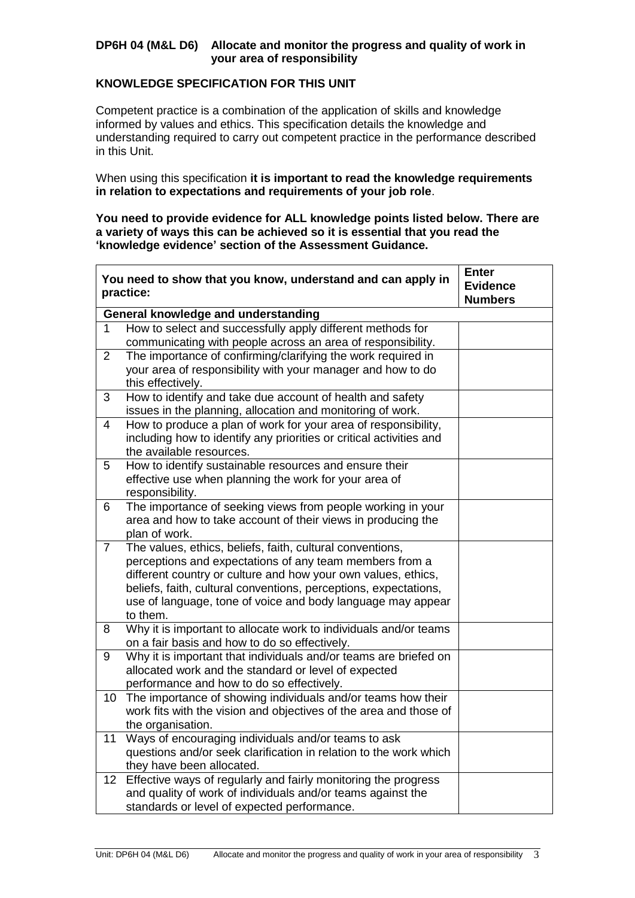## **KNOWLEDGE SPECIFICATION FOR THIS UNIT**

Competent practice is a combination of the application of skills and knowledge informed by values and ethics. This specification details the knowledge and understanding required to carry out competent practice in the performance described in this Unit.

When using this specification **it is important to read the knowledge requirements in relation to expectations and requirements of your job role**.

**You need to provide evidence for ALL knowledge points listed below. There are a variety of ways this can be achieved so it is essential that you read the 'knowledge evidence' section of the Assessment Guidance.**

|                 | You need to show that you know, understand and can apply in<br>practice:                                                                                                                                                                                                                                                             | <b>Enter</b><br><b>Evidence</b><br><b>Numbers</b> |  |  |  |  |
|-----------------|--------------------------------------------------------------------------------------------------------------------------------------------------------------------------------------------------------------------------------------------------------------------------------------------------------------------------------------|---------------------------------------------------|--|--|--|--|
|                 | General knowledge and understanding                                                                                                                                                                                                                                                                                                  |                                                   |  |  |  |  |
| 1               | How to select and successfully apply different methods for<br>communicating with people across an area of responsibility.                                                                                                                                                                                                            |                                                   |  |  |  |  |
| $\overline{2}$  | The importance of confirming/clarifying the work required in<br>your area of responsibility with your manager and how to do<br>this effectively.                                                                                                                                                                                     |                                                   |  |  |  |  |
| 3               | How to identify and take due account of health and safety<br>issues in the planning, allocation and monitoring of work.                                                                                                                                                                                                              |                                                   |  |  |  |  |
| 4               | How to produce a plan of work for your area of responsibility,<br>including how to identify any priorities or critical activities and<br>the available resources.                                                                                                                                                                    |                                                   |  |  |  |  |
| 5.              | How to identify sustainable resources and ensure their<br>effective use when planning the work for your area of<br>responsibility.                                                                                                                                                                                                   |                                                   |  |  |  |  |
| 6               | The importance of seeking views from people working in your<br>area and how to take account of their views in producing the<br>plan of work.                                                                                                                                                                                         |                                                   |  |  |  |  |
| $\overline{7}$  | The values, ethics, beliefs, faith, cultural conventions,<br>perceptions and expectations of any team members from a<br>different country or culture and how your own values, ethics,<br>beliefs, faith, cultural conventions, perceptions, expectations,<br>use of language, tone of voice and body language may appear<br>to them. |                                                   |  |  |  |  |
| 8               | Why it is important to allocate work to individuals and/or teams<br>on a fair basis and how to do so effectively.                                                                                                                                                                                                                    |                                                   |  |  |  |  |
| 9               | Why it is important that individuals and/or teams are briefed on<br>allocated work and the standard or level of expected<br>performance and how to do so effectively.                                                                                                                                                                |                                                   |  |  |  |  |
| 10              | The importance of showing individuals and/or teams how their<br>work fits with the vision and objectives of the area and those of<br>the organisation.                                                                                                                                                                               |                                                   |  |  |  |  |
| 11              | Ways of encouraging individuals and/or teams to ask<br>questions and/or seek clarification in relation to the work which<br>they have been allocated.                                                                                                                                                                                |                                                   |  |  |  |  |
| 12 <sub>2</sub> | Effective ways of regularly and fairly monitoring the progress<br>and quality of work of individuals and/or teams against the<br>standards or level of expected performance.                                                                                                                                                         |                                                   |  |  |  |  |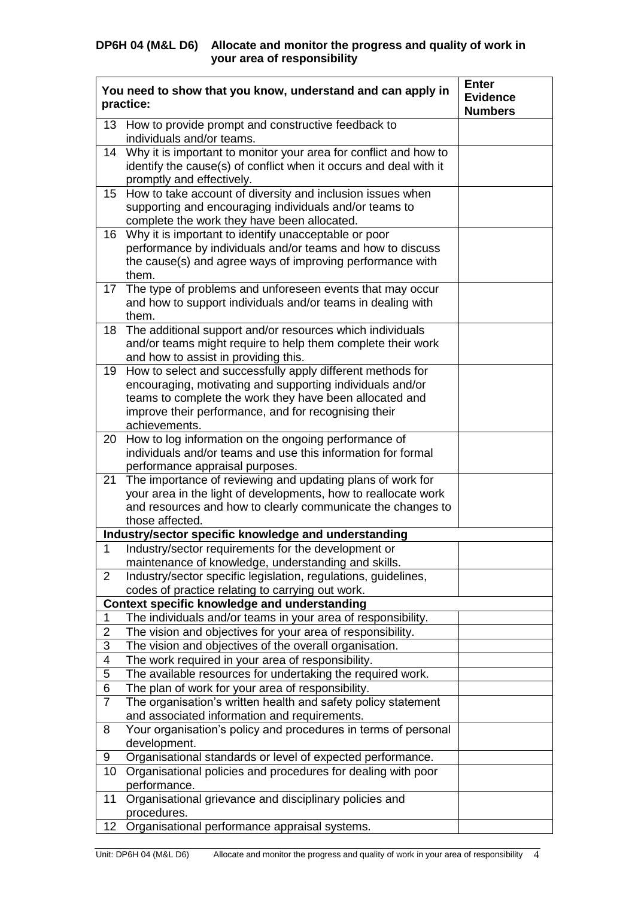|                | You need to show that you know, understand and can apply in<br>practice:                                                                                                                                                                                    | <b>Enter</b><br><b>Evidence</b><br><b>Numbers</b> |
|----------------|-------------------------------------------------------------------------------------------------------------------------------------------------------------------------------------------------------------------------------------------------------------|---------------------------------------------------|
|                | 13 How to provide prompt and constructive feedback to<br>individuals and/or teams.                                                                                                                                                                          |                                                   |
|                | 14 Why it is important to monitor your area for conflict and how to<br>identify the cause(s) of conflict when it occurs and deal with it<br>promptly and effectively.                                                                                       |                                                   |
|                | 15 How to take account of diversity and inclusion issues when<br>supporting and encouraging individuals and/or teams to<br>complete the work they have been allocated.                                                                                      |                                                   |
|                | 16 Why it is important to identify unacceptable or poor<br>performance by individuals and/or teams and how to discuss<br>the cause(s) and agree ways of improving performance with<br>them.                                                                 |                                                   |
| 17             | The type of problems and unforeseen events that may occur<br>and how to support individuals and/or teams in dealing with<br>them.                                                                                                                           |                                                   |
| 18             | The additional support and/or resources which individuals<br>and/or teams might require to help them complete their work<br>and how to assist in providing this.                                                                                            |                                                   |
| 19             | How to select and successfully apply different methods for<br>encouraging, motivating and supporting individuals and/or<br>teams to complete the work they have been allocated and<br>improve their performance, and for recognising their<br>achievements. |                                                   |
| 20             | How to log information on the ongoing performance of<br>individuals and/or teams and use this information for formal<br>performance appraisal purposes.                                                                                                     |                                                   |
| 21             | The importance of reviewing and updating plans of work for<br>your area in the light of developments, how to reallocate work<br>and resources and how to clearly communicate the changes to<br>those affected.                                              |                                                   |
|                | Industry/sector specific knowledge and understanding                                                                                                                                                                                                        |                                                   |
| $\mathbf 1$    | Industry/sector requirements for the development or<br>maintenance of knowledge, understanding and skills.                                                                                                                                                  |                                                   |
| $\overline{2}$ | Industry/sector specific legislation, regulations, guidelines,<br>codes of practice relating to carrying out work.                                                                                                                                          |                                                   |
|                | Context specific knowledge and understanding                                                                                                                                                                                                                |                                                   |
| 1              | The individuals and/or teams in your area of responsibility.                                                                                                                                                                                                |                                                   |
| $\overline{2}$ | The vision and objectives for your area of responsibility.                                                                                                                                                                                                  |                                                   |
| 3              | The vision and objectives of the overall organisation.                                                                                                                                                                                                      |                                                   |
| 4              | The work required in your area of responsibility.                                                                                                                                                                                                           |                                                   |
| $\overline{5}$ | The available resources for undertaking the required work.                                                                                                                                                                                                  |                                                   |
| 6              | The plan of work for your area of responsibility.                                                                                                                                                                                                           |                                                   |
| $\overline{7}$ | The organisation's written health and safety policy statement<br>and associated information and requirements.                                                                                                                                               |                                                   |
| 8              | Your organisation's policy and procedures in terms of personal<br>development.                                                                                                                                                                              |                                                   |
| 9              | Organisational standards or level of expected performance.                                                                                                                                                                                                  |                                                   |
| 10             | Organisational policies and procedures for dealing with poor<br>performance.                                                                                                                                                                                |                                                   |
| 11             | Organisational grievance and disciplinary policies and<br>procedures.                                                                                                                                                                                       |                                                   |
| 12             | Organisational performance appraisal systems.                                                                                                                                                                                                               |                                                   |
|                |                                                                                                                                                                                                                                                             |                                                   |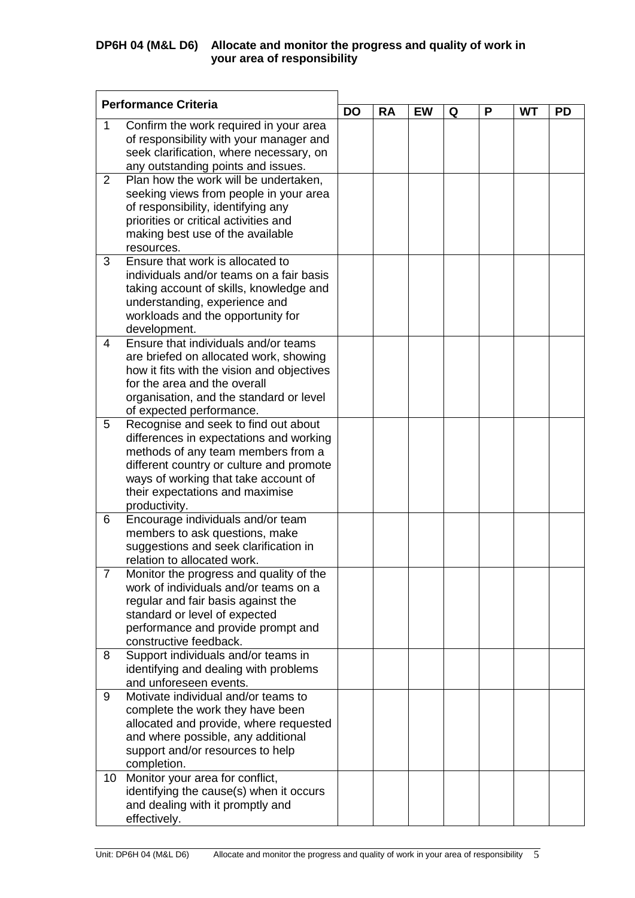| <b>Performance Criteria</b> |                                                                     |           |           |           |   |   |           |           |
|-----------------------------|---------------------------------------------------------------------|-----------|-----------|-----------|---|---|-----------|-----------|
|                             |                                                                     | <b>DO</b> | <b>RA</b> | <b>EW</b> | Q | Р | <b>WT</b> | <b>PD</b> |
| 1                           | Confirm the work required in your area                              |           |           |           |   |   |           |           |
|                             | of responsibility with your manager and                             |           |           |           |   |   |           |           |
|                             | seek clarification, where necessary, on                             |           |           |           |   |   |           |           |
|                             | any outstanding points and issues.                                  |           |           |           |   |   |           |           |
| $\overline{2}$              | Plan how the work will be undertaken,                               |           |           |           |   |   |           |           |
|                             | seeking views from people in your area                              |           |           |           |   |   |           |           |
|                             | of responsibility, identifying any                                  |           |           |           |   |   |           |           |
|                             | priorities or critical activities and                               |           |           |           |   |   |           |           |
|                             | making best use of the available                                    |           |           |           |   |   |           |           |
|                             | resources.                                                          |           |           |           |   |   |           |           |
| 3                           | Ensure that work is allocated to                                    |           |           |           |   |   |           |           |
|                             | individuals and/or teams on a fair basis                            |           |           |           |   |   |           |           |
|                             | taking account of skills, knowledge and                             |           |           |           |   |   |           |           |
|                             | understanding, experience and                                       |           |           |           |   |   |           |           |
|                             | workloads and the opportunity for                                   |           |           |           |   |   |           |           |
| 4                           | development.<br>Ensure that individuals and/or teams                |           |           |           |   |   |           |           |
|                             | are briefed on allocated work, showing                              |           |           |           |   |   |           |           |
|                             | how it fits with the vision and objectives                          |           |           |           |   |   |           |           |
|                             | for the area and the overall                                        |           |           |           |   |   |           |           |
|                             | organisation, and the standard or level                             |           |           |           |   |   |           |           |
|                             | of expected performance.                                            |           |           |           |   |   |           |           |
| 5                           | Recognise and seek to find out about                                |           |           |           |   |   |           |           |
|                             | differences in expectations and working                             |           |           |           |   |   |           |           |
|                             | methods of any team members from a                                  |           |           |           |   |   |           |           |
|                             | different country or culture and promote                            |           |           |           |   |   |           |           |
|                             | ways of working that take account of                                |           |           |           |   |   |           |           |
|                             | their expectations and maximise                                     |           |           |           |   |   |           |           |
|                             | productivity.                                                       |           |           |           |   |   |           |           |
| 6                           | Encourage individuals and/or team                                   |           |           |           |   |   |           |           |
|                             | members to ask questions, make                                      |           |           |           |   |   |           |           |
|                             | suggestions and seek clarification in                               |           |           |           |   |   |           |           |
|                             | relation to allocated work.                                         |           |           |           |   |   |           |           |
| 7                           | Monitor the progress and quality of the                             |           |           |           |   |   |           |           |
|                             | work of individuals and/or teams on a                               |           |           |           |   |   |           |           |
|                             | regular and fair basis against the                                  |           |           |           |   |   |           |           |
|                             | standard or level of expected<br>performance and provide prompt and |           |           |           |   |   |           |           |
|                             | constructive feedback.                                              |           |           |           |   |   |           |           |
| 8                           | Support individuals and/or teams in                                 |           |           |           |   |   |           |           |
|                             | identifying and dealing with problems                               |           |           |           |   |   |           |           |
|                             | and unforeseen events.                                              |           |           |           |   |   |           |           |
| 9                           | Motivate individual and/or teams to                                 |           |           |           |   |   |           |           |
|                             | complete the work they have been                                    |           |           |           |   |   |           |           |
|                             | allocated and provide, where requested                              |           |           |           |   |   |           |           |
|                             | and where possible, any additional                                  |           |           |           |   |   |           |           |
|                             | support and/or resources to help                                    |           |           |           |   |   |           |           |
|                             | completion.                                                         |           |           |           |   |   |           |           |
| 10 <sup>°</sup>             | Monitor your area for conflict,                                     |           |           |           |   |   |           |           |
|                             | identifying the cause(s) when it occurs                             |           |           |           |   |   |           |           |
|                             | and dealing with it promptly and                                    |           |           |           |   |   |           |           |
|                             | effectively.                                                        |           |           |           |   |   |           |           |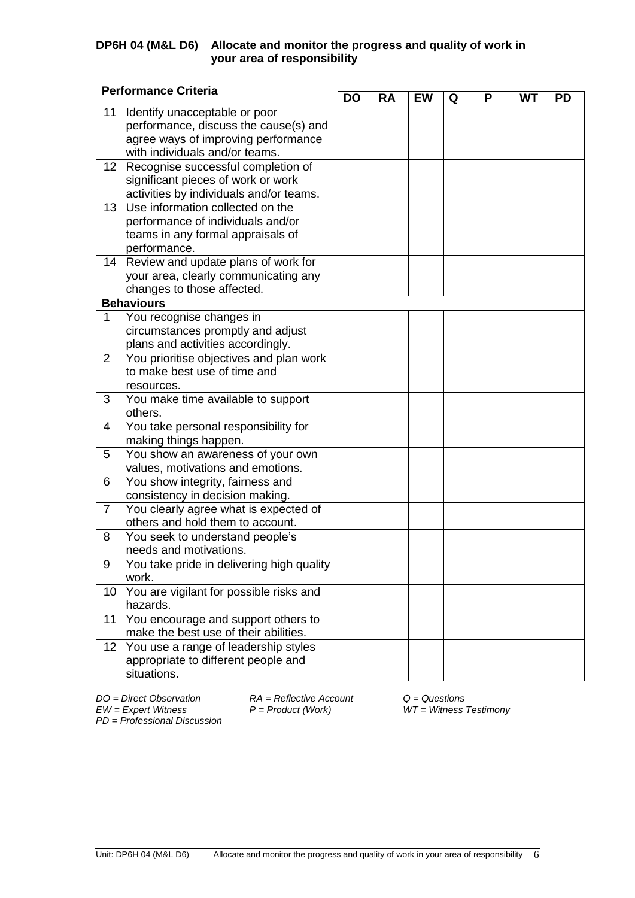| <b>Performance Criteria</b> |                                                    | <b>DO</b> |           |           |   |   |           |           |
|-----------------------------|----------------------------------------------------|-----------|-----------|-----------|---|---|-----------|-----------|
|                             |                                                    |           | <b>RA</b> | <b>EW</b> | Q | P | <b>WT</b> | <b>PD</b> |
| 11                          | Identify unacceptable or poor                      |           |           |           |   |   |           |           |
|                             | performance, discuss the cause(s) and              |           |           |           |   |   |           |           |
|                             | agree ways of improving performance                |           |           |           |   |   |           |           |
|                             | with individuals and/or teams.                     |           |           |           |   |   |           |           |
| 12 <sup>2</sup>             | Recognise successful completion of                 |           |           |           |   |   |           |           |
|                             | significant pieces of work or work                 |           |           |           |   |   |           |           |
|                             | activities by individuals and/or teams.            |           |           |           |   |   |           |           |
| 13                          | Use information collected on the                   |           |           |           |   |   |           |           |
|                             | performance of individuals and/or                  |           |           |           |   |   |           |           |
|                             | teams in any formal appraisals of<br>performance.  |           |           |           |   |   |           |           |
|                             | 14 Review and update plans of work for             |           |           |           |   |   |           |           |
|                             | your area, clearly communicating any               |           |           |           |   |   |           |           |
|                             | changes to those affected.                         |           |           |           |   |   |           |           |
|                             | <b>Behaviours</b>                                  |           |           |           |   |   |           |           |
| $\mathbf{1}$                | You recognise changes in                           |           |           |           |   |   |           |           |
|                             | circumstances promptly and adjust                  |           |           |           |   |   |           |           |
|                             | plans and activities accordingly.                  |           |           |           |   |   |           |           |
| $\overline{2}$              | You prioritise objectives and plan work            |           |           |           |   |   |           |           |
|                             | to make best use of time and                       |           |           |           |   |   |           |           |
|                             | resources.                                         |           |           |           |   |   |           |           |
| 3                           | You make time available to support                 |           |           |           |   |   |           |           |
|                             | others.                                            |           |           |           |   |   |           |           |
| 4                           | You take personal responsibility for               |           |           |           |   |   |           |           |
|                             | making things happen.                              |           |           |           |   |   |           |           |
| 5                           | You show an awareness of your own                  |           |           |           |   |   |           |           |
|                             | values, motivations and emotions.                  |           |           |           |   |   |           |           |
| 6                           | You show integrity, fairness and                   |           |           |           |   |   |           |           |
|                             | consistency in decision making.                    |           |           |           |   |   |           |           |
| $\overline{7}$              | You clearly agree what is expected of              |           |           |           |   |   |           |           |
|                             | others and hold them to account.                   |           |           |           |   |   |           |           |
| 8                           | You seek to understand people's                    |           |           |           |   |   |           |           |
|                             | needs and motivations.                             |           |           |           |   |   |           |           |
| 9                           | You take pride in delivering high quality<br>work. |           |           |           |   |   |           |           |
| 10                          | You are vigilant for possible risks and            |           |           |           |   |   |           |           |
|                             | hazards.                                           |           |           |           |   |   |           |           |
| 11                          | You encourage and support others to                |           |           |           |   |   |           |           |
|                             | make the best use of their abilities.              |           |           |           |   |   |           |           |
| 12 <sub>2</sub>             | You use a range of leadership styles               |           |           |           |   |   |           |           |
|                             | appropriate to different people and                |           |           |           |   |   |           |           |
|                             | situations.                                        |           |           |           |   |   |           |           |

*PD* = *Professional Discussion*

*DO = Direct Observation RA = Reflective Account Q = Questions*

*EW = Expert Witness P = Product (Work) WT = Witness Testimony*